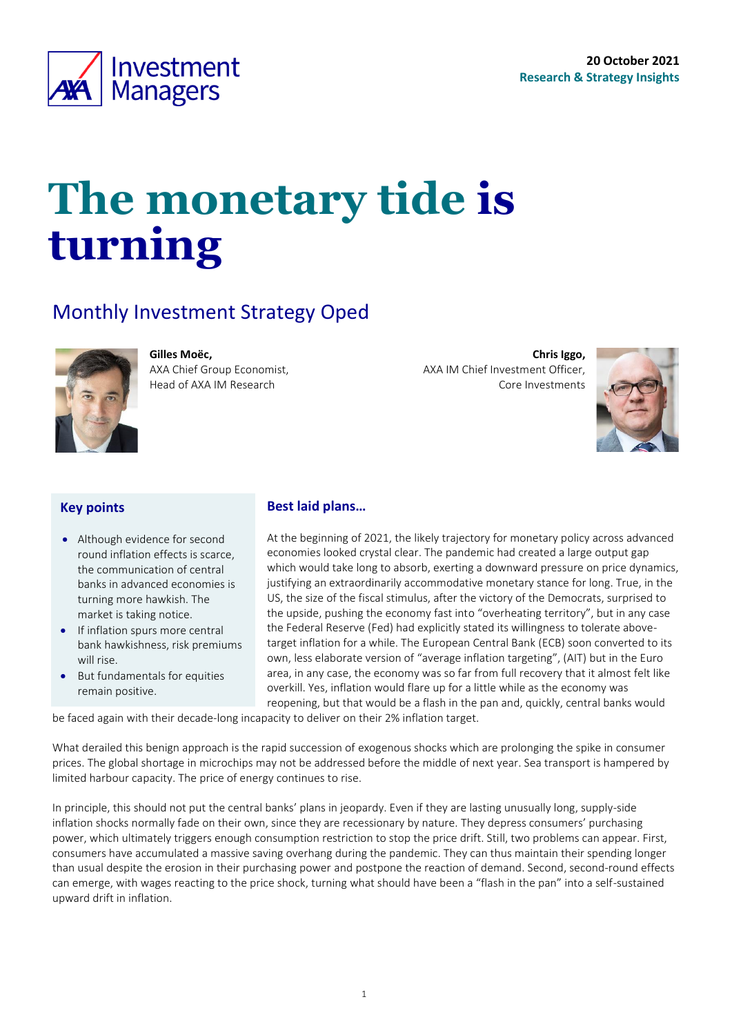<span id="page-0-0"></span>

# **The monetary tide is turning**

### Monthly Investment Strategy Oped

AXA Chief Group Economist, Head of AXA IM Research



**Gilles Moëc,**

**Chris Iggo,**  AXA IM Chief Investment Officer, Core Investments

### **Key points**

- Although evidence for second round inflation effects is scarce, the communication of central banks in advanced economies is turning more hawkish. The market is taking notice.
- If inflation spurs more central bank hawkishness, risk premiums will rise.
- But fundamentals for equities remain positive.

#### **Best laid plans…**

At the beginning of 2021, the likely trajectory for monetary policy across advanced economies looked crystal clear. The pandemic had created a large output gap which would take long to absorb, exerting a downward pressure on price dynamics, justifying an extraordinarily accommodative monetary stance for long. True, in the US, the size of the fiscal stimulus, after the victory of the Democrats, surprised to the upside, pushing the economy fast into "overheating territory", but in any case the Federal Reserve (Fed) had explicitly stated its willingness to tolerate abovetarget inflation for a while. The European Central Bank (ECB) soon converted to its own, less elaborate version of "average inflation targeting", (AIT) but in the Euro area, in any case, the economy was so far from full recovery that it almost felt like overkill. Yes, inflation would flare up for a little while as the economy was reopening, but that would be a flash in the pan and, quickly, central banks would

be faced again with their decade-long incapacity to deliver on their 2% inflation target.

What derailed this benign approach is the rapid succession of exogenous shocks which are prolonging the spike in consumer prices. The global shortage in microchips may not be addressed before the middle of next year. Sea transport is hampered by limited harbour capacity. The price of energy continues to rise.

In principle, this should not put the central banks' plans in jeopardy. Even if they are lasting unusually long, supply-side inflation shocks normally fade on their own, since they are recessionary by nature. They depress consumers' purchasing power, which ultimately triggers enough consumption restriction to stop the price drift. Still, two problems can appear. First, consumers have accumulated a massive saving overhang during the pandemic. They can thus maintain their spending longer than usual despite the erosion in their purchasing power and postpone the reaction of demand. Second, second-round effects can emerge, with wages reacting to the price shock, turning what should have been a "flash in the pan" into a self-sustained upward drift in inflation.



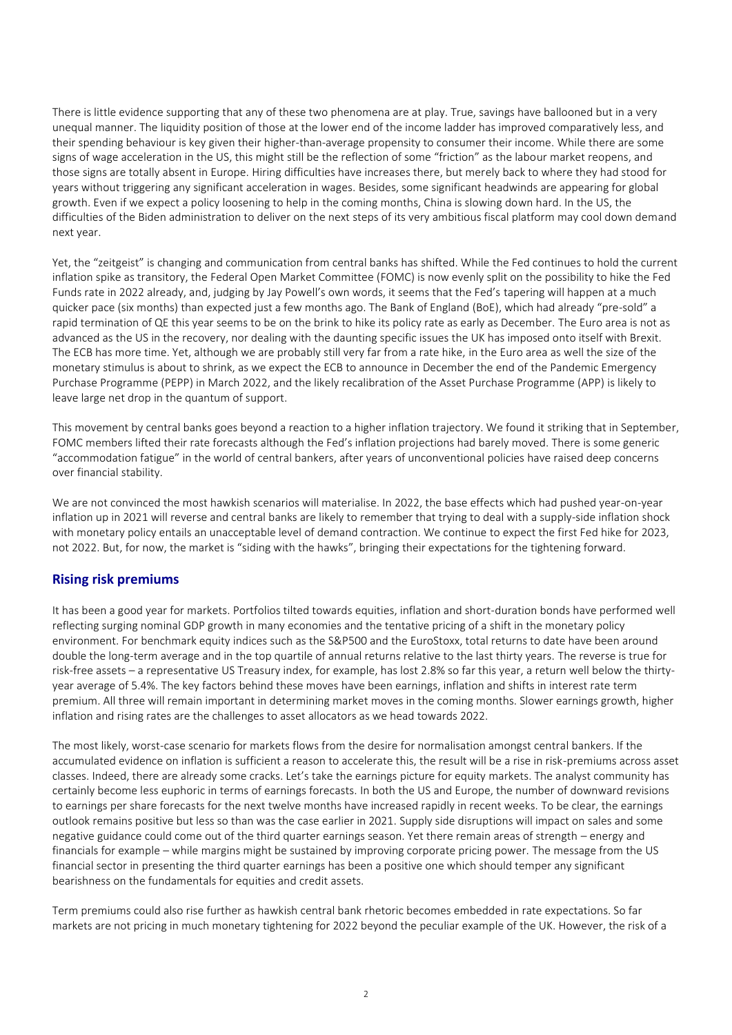There is little evidence supporting that any of these two phenomena are at play. True, savings have ballooned but in a very unequal manner. The liquidity position of those at the lower end of the income ladder has improved comparatively less, and their spending behaviour is key given their higher-than-average propensity to consumer their income. While there are some signs of wage acceleration in the US, this might still be the reflection of some "friction" as the labour market reopens, and those signs are totally absent in Europe. Hiring difficulties have increases there, but merely back to where they had stood for years without triggering any significant acceleration in wages. Besides, some significant headwinds are appearing for global growth. Even if we expect a policy loosening to help in the coming months, China is slowing down hard. In the US, the difficulties of the Biden administration to deliver on the next steps of its very ambitious fiscal platform may cool down demand next year.

Yet, the "zeitgeist" is changing and communication from central banks has shifted. While the Fed continues to hold the current inflation spike as transitory, the Federal Open Market Committee (FOMC) is now evenly split on the possibility to hike the Fed Funds rate in 2022 already, and, judging by Jay Powell's own words, it seems that the Fed's tapering will happen at a much quicker pace (six months) than expected just a few months ago. The Bank of England (BoE), which had already "pre-sold" a rapid termination of QE this year seems to be on the brink to hike its policy rate as early as December. The Euro area is not as advanced as the US in the recovery, nor dealing with the daunting specific issues the UK has imposed onto itself with Brexit. The ECB has more time. Yet, although we are probably still very far from a rate hike, in the Euro area as well the size of the monetary stimulus is about to shrink, as we expect the ECB to announce in December the end of the Pandemic Emergency Purchase Programme (PEPP) in March 2022, and the likely recalibration of the Asset Purchase Programme (APP) is likely to leave large net drop in the quantum of support.

This movement by central banks goes beyond a reaction to a higher inflation trajectory. We found it striking that in September, FOMC members lifted their rate forecasts although the Fed's inflation projections had barely moved. There is some generic "accommodation fatigue" in the world of central bankers, after years of unconventional policies have raised deep concerns over financial stability.

We are not convinced the most hawkish scenarios will materialise. In 2022, the base effects which had pushed year-on-year inflation up in 2021 will reverse and central banks are likely to remember that trying to deal with a supply-side inflation shock with monetary policy entails an unacceptable level of demand contraction. We continue to expect the first Fed hike for 2023, not 2022. But, for now, the market is "siding with the hawks", bringing their expectations for the tightening forward.

#### **Rising risk premiums**

It has been a good year for markets. Portfolios tilted towards equities, inflation and short-duration bonds have performed well reflecting surging nominal GDP growth in many economies and the tentative pricing of a shift in the monetary policy environment. For benchmark equity indices such as the S&P500 and the EuroStoxx, total returns to date have been around double the long-term average and in the top quartile of annual returns relative to the last thirty years. The reverse is true for risk-free assets – a representative US Treasury index, for example, has lost 2.8% so far this year, a return well below the thirtyyear average of 5.4%. The key factors behind these moves have been earnings, inflation and shifts in interest rate term premium. All three will remain important in determining market moves in the coming months. Slower earnings growth, higher inflation and rising rates are the challenges to asset allocators as we head towards 2022.

The most likely, worst-case scenario for markets flows from the desire for normalisation amongst central bankers. If the accumulated evidence on inflation is sufficient a reason to accelerate this, the result will be a rise in risk-premiums across asset classes. Indeed, there are already some cracks. Let's take the earnings picture for equity markets. The analyst community has certainly become less euphoric in terms of earnings forecasts. In both the US and Europe, the number of downward revisions to earnings per share forecasts for the next twelve months have increased rapidly in recent weeks. To be clear, the earnings outlook remains positive but less so than was the case earlier in 2021. Supply side disruptions will impact on sales and some negative guidance could come out of the third quarter earnings season. Yet there remain areas of strength – energy and financials for example – while margins might be sustained by improving corporate pricing power. The message from the US financial sector in presenting the third quarter earnings has been a positive one which should temper any significant bearishness on the fundamentals for equities and credit assets.

Term premiums could also rise further as hawkish central bank rhetoric becomes embedded in rate expectations. So far markets are not pricing in much monetary tightening for 2022 beyond the peculiar example of the UK. However, the risk of a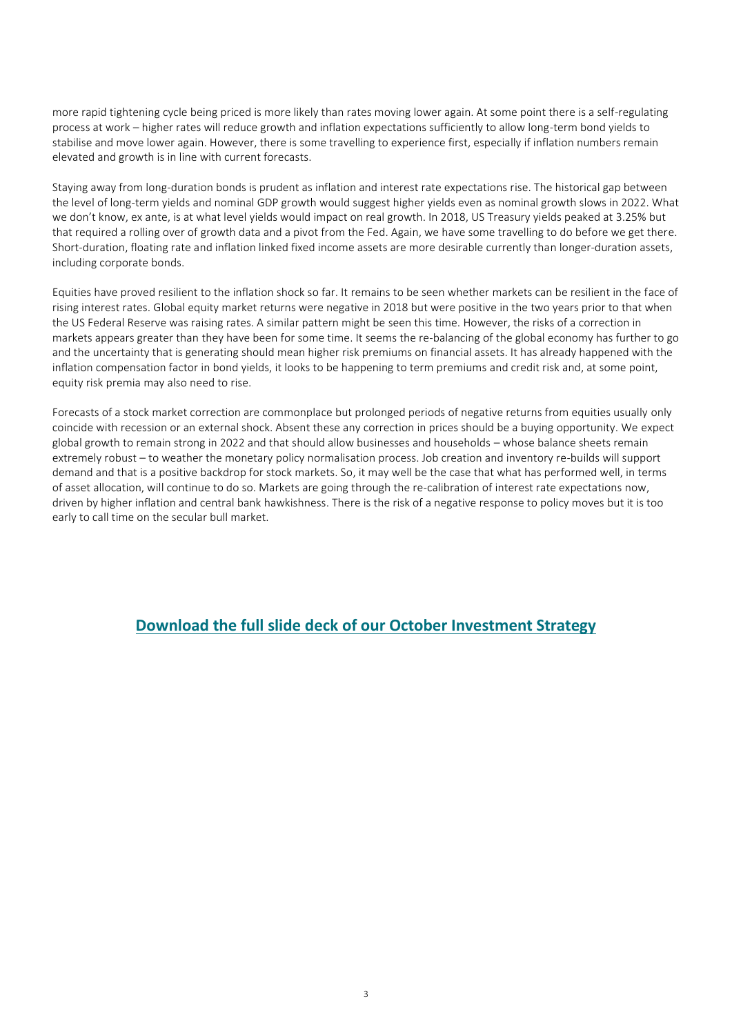more rapid tightening cycle being priced is more likely than rates moving lower again. At some point there is a self-regulating process at work – higher rates will reduce growth and inflation expectations sufficiently to allow long-term bond yields to stabilise and move lower again. However, there is some travelling to experience first, especially if inflation numbers remain elevated and growth is in line with current forecasts.

Staying away from long-duration bonds is prudent as inflation and interest rate expectations rise. The historical gap between the level of long-term yields and nominal GDP growth would suggest higher yields even as nominal growth slows in 2022. What we don't know, ex ante, is at what level yields would impact on real growth. In 2018, US Treasury yields peaked at 3.25% but that required a rolling over of growth data and a pivot from the Fed. Again, we have some travelling to do before we get there. Short-duration, floating rate and inflation linked fixed income assets are more desirable currently than longer-duration assets, including corporate bonds.

Equities have proved resilient to the inflation shock so far. It remains to be seen whether markets can be resilient in the face of rising interest rates. Global equity market returns were negative in 2018 but were positive in the two years prior to that when the US Federal Reserve was raising rates. A similar pattern might be seen this time. However, the risks of a correction in markets appears greater than they have been for some time. It seems the re-balancing of the global economy has further to go and the uncertainty that is generating should mean higher risk premiums on financial assets. It has already happened with the inflation compensation factor in bond yields, it looks to be happening to term premiums and credit risk and, at some point, equity risk premia may also need to rise.

Forecasts of a stock market correction are commonplace but prolonged periods of negative returns from equities usually only coincide with recession or an external shock. Absent these any correction in prices should be a buying opportunity. We expect global growth to remain strong in 2022 and that should allow businesses and households – whose balance sheets remain extremely robust – to weather the monetary policy normalisation process. Job creation and inventory re-builds will support demand and that is a positive backdrop for stock markets. So, it may well be the case that what has performed well, in terms of asset allocation, will continue to do so. Markets are going through the re-calibration of interest rate expectations now, driven by higher inflation and central bank hawkishness. There is the risk of a negative response to policy moves but it is too early to call time on the secular bull market.

#### **[Download the full slide deck of our October](https://www.axa-im.com/sites/default/files/insight/pdf/2021-10%20Strategy_en.pdf) Investment Strategy**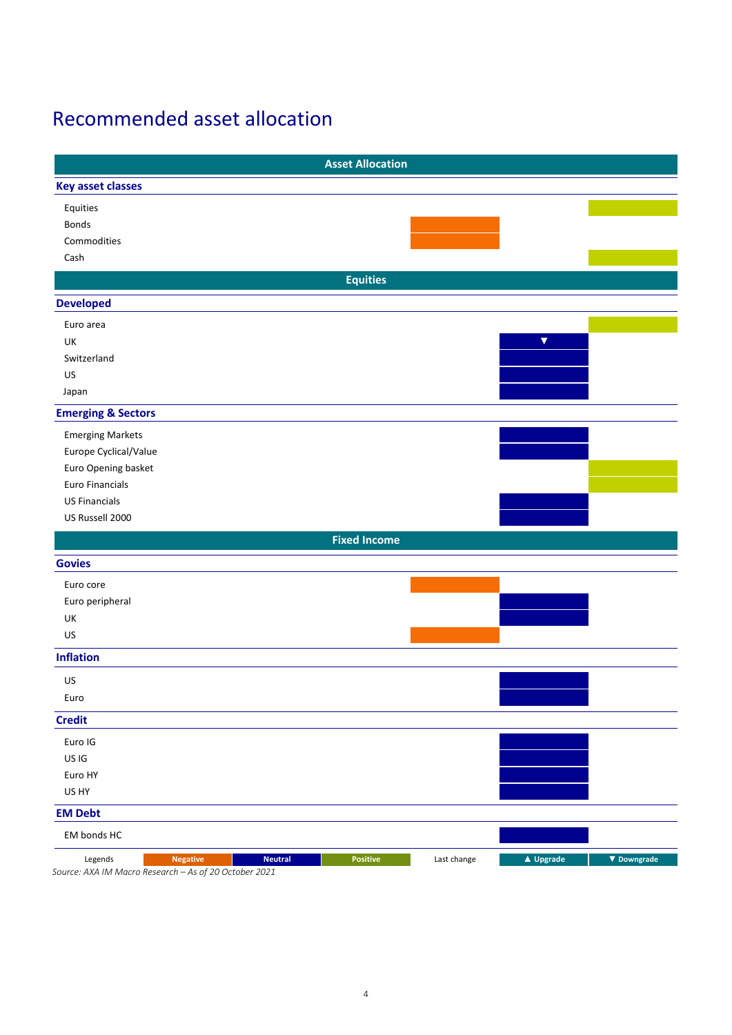### Recommended asset allocation

|                                                                                     |                | <b>Asset Allocation</b> |             |                      |                    |
|-------------------------------------------------------------------------------------|----------------|-------------------------|-------------|----------------------|--------------------|
| <b>Key asset classes</b>                                                            |                |                         |             |                      |                    |
| Equities                                                                            |                |                         |             |                      |                    |
| <b>Bonds</b>                                                                        |                |                         |             |                      |                    |
| Commodities                                                                         |                |                         |             |                      |                    |
| Cash                                                                                |                |                         |             |                      |                    |
|                                                                                     |                | <b>Equities</b>         |             |                      |                    |
| <b>Developed</b>                                                                    |                |                         |             |                      |                    |
| Euro area                                                                           |                |                         |             |                      |                    |
| UK                                                                                  |                |                         |             | $\blacktriangledown$ |                    |
| Switzerland                                                                         |                |                         |             |                      |                    |
| US                                                                                  |                |                         |             |                      |                    |
| Japan                                                                               |                |                         |             |                      |                    |
| <b>Emerging &amp; Sectors</b>                                                       |                |                         |             |                      |                    |
| <b>Emerging Markets</b>                                                             |                |                         |             |                      |                    |
| Europe Cyclical/Value                                                               |                |                         |             |                      |                    |
| Euro Opening basket                                                                 |                |                         |             |                      |                    |
| <b>Euro Financials</b>                                                              |                |                         |             |                      |                    |
| <b>US Financials</b>                                                                |                |                         |             |                      |                    |
| US Russell 2000                                                                     |                |                         |             |                      |                    |
|                                                                                     |                | <b>Fixed Income</b>     |             |                      |                    |
| <b>Govies</b>                                                                       |                |                         |             |                      |                    |
| Euro core                                                                           |                |                         |             |                      |                    |
| Euro peripheral                                                                     |                |                         |             |                      |                    |
| UK                                                                                  |                |                         |             |                      |                    |
| US                                                                                  |                |                         |             |                      |                    |
|                                                                                     |                |                         |             |                      |                    |
| <b>Inflation</b>                                                                    |                |                         |             |                      |                    |
| US                                                                                  |                |                         |             |                      |                    |
| Euro                                                                                |                |                         |             |                      |                    |
| <b>Credit</b>                                                                       |                |                         |             |                      |                    |
| Euro IG                                                                             |                |                         |             |                      |                    |
| US IG                                                                               |                |                         |             |                      |                    |
| Euro HY                                                                             |                |                         |             |                      |                    |
| US HY                                                                               |                |                         |             |                      |                    |
| <b>EM Debt</b>                                                                      |                |                         |             |                      |                    |
| EM bonds HC                                                                         |                |                         |             |                      |                    |
| Legends<br><b>Negative</b><br>Source: AXA IM Macro Research - As of 20 October 2021 | <b>Neutral</b> | Positive                | Last change | ▲ Upgrade            | $\nabla$ Downgrade |

4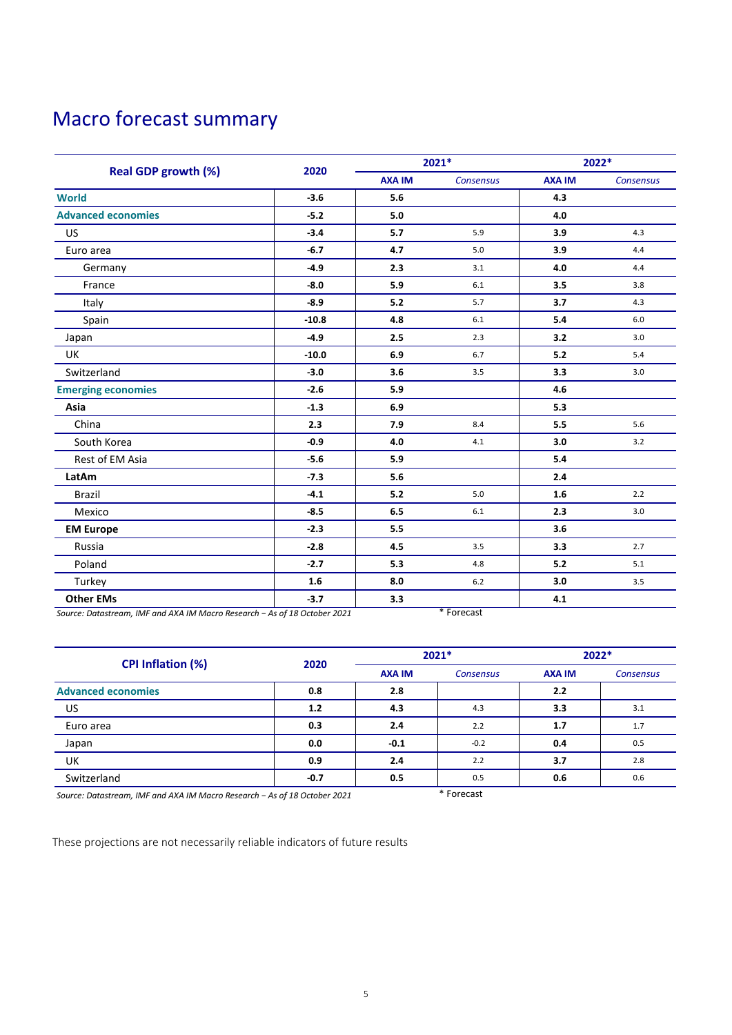# Macro forecast summary

|                            |         | 2021*         |           | 2022*         |           |
|----------------------------|---------|---------------|-----------|---------------|-----------|
| <b>Real GDP growth (%)</b> | 2020    | <b>AXA IM</b> | Consensus | <b>AXA IM</b> | Consensus |
| <b>World</b>               | $-3.6$  | 5.6           |           | 4.3           |           |
| <b>Advanced economies</b>  | $-5.2$  | 5.0           |           | 4.0           |           |
| US                         | $-3.4$  | 5.7           | 5.9       | 3.9           | 4.3       |
| Euro area                  | $-6.7$  | 4.7           | 5.0       | 3.9           | 4.4       |
| Germany                    | $-4.9$  | 2.3           | 3.1       | 4.0           | 4.4       |
| France                     | $-8.0$  | 5.9           | 6.1       | 3.5           | 3.8       |
| Italy                      | $-8.9$  | 5.2           | 5.7       | 3.7           | 4.3       |
| Spain                      | $-10.8$ | 4.8           | 6.1       | 5.4           | 6.0       |
| Japan                      | $-4.9$  | 2.5           | 2.3       | 3.2           | 3.0       |
| <b>UK</b>                  | $-10.0$ | 6.9           | 6.7       | 5.2           | 5.4       |
| Switzerland                | $-3.0$  | 3.6           | 3.5       | 3.3           | 3.0       |
| <b>Emerging economies</b>  | $-2.6$  | 5.9           |           | 4.6           |           |
| Asia                       | $-1.3$  | 6.9           |           | 5.3           |           |
| China                      | 2.3     | 7.9           | 8.4       | 5.5           | 5.6       |
| South Korea                | $-0.9$  | 4.0           | 4.1       | 3.0           | 3.2       |
| Rest of EM Asia            | $-5.6$  | 5.9           |           | 5.4           |           |
| LatAm                      | $-7.3$  | 5.6           |           | 2.4           |           |
| <b>Brazil</b>              | $-4.1$  | 5.2           | 5.0       | 1.6           | 2.2       |
| Mexico                     | $-8.5$  | $6.5\,$       | 6.1       | 2.3           | 3.0       |
| <b>EM Europe</b>           | $-2.3$  | 5.5           |           | 3.6           |           |
| Russia                     | $-2.8$  | 4.5           | 3.5       | 3.3           | 2.7       |
| Poland                     | $-2.7$  | 5.3           | 4.8       | 5.2           | 5.1       |
| Turkey                     | 1.6     | 8.0           | 6.2       | 3.0           | 3.5       |
| <b>Other EMs</b>           | $-3.7$  | 3.3           |           | 4.1           |           |

*Source: Datastream, IMF and AXA IM Macro Research − As of 18 October 2021* \* Forecast

|                                                                                                                                                                                                                                                                                |        | $2021*$       |                                             | 2022*         |                  |
|--------------------------------------------------------------------------------------------------------------------------------------------------------------------------------------------------------------------------------------------------------------------------------|--------|---------------|---------------------------------------------|---------------|------------------|
| <b>CPI Inflation (%)</b>                                                                                                                                                                                                                                                       | 2020   | <b>AXA IM</b> | <b>Consensus</b>                            | <b>AXA IM</b> | <b>Consensus</b> |
| <b>Advanced economies</b>                                                                                                                                                                                                                                                      | 0.8    | 2.8           |                                             | 2.2           |                  |
| <b>US</b>                                                                                                                                                                                                                                                                      | 1.2    | 4.3           | 4.3                                         | 3.3           | 3.1              |
| Euro area                                                                                                                                                                                                                                                                      | 0.3    | 2.4           | 2.2                                         | 1.7           | 1.7              |
| Japan                                                                                                                                                                                                                                                                          | 0.0    | $-0.1$        | $-0.2$                                      | 0.4           | 0.5              |
| UK                                                                                                                                                                                                                                                                             | 0.9    | 2.4           | 2.2                                         | 3.7           | 2.8              |
| Switzerland                                                                                                                                                                                                                                                                    | $-0.7$ | 0.5           | 0.5                                         | 0.6           | 0.6              |
| $\mathbf{a}$ . The contract of the contract of the contract of the contract of the contract of the contract of the contract of the contract of the contract of the contract of the contract of the contract of the contract of th<br>$\sim$ $\sim$ $\sim$ $\sim$ $\sim$ $\sim$ |        |               | $*$ $F$ <sub>nr</sub> $S$ <sub>nr</sub> $+$ |               |                  |

*Source: Datastream, IMF and AXA IM Macro Research − As of 18 October 2021* \* Forecast

These projections are not necessarily reliable indicators of future results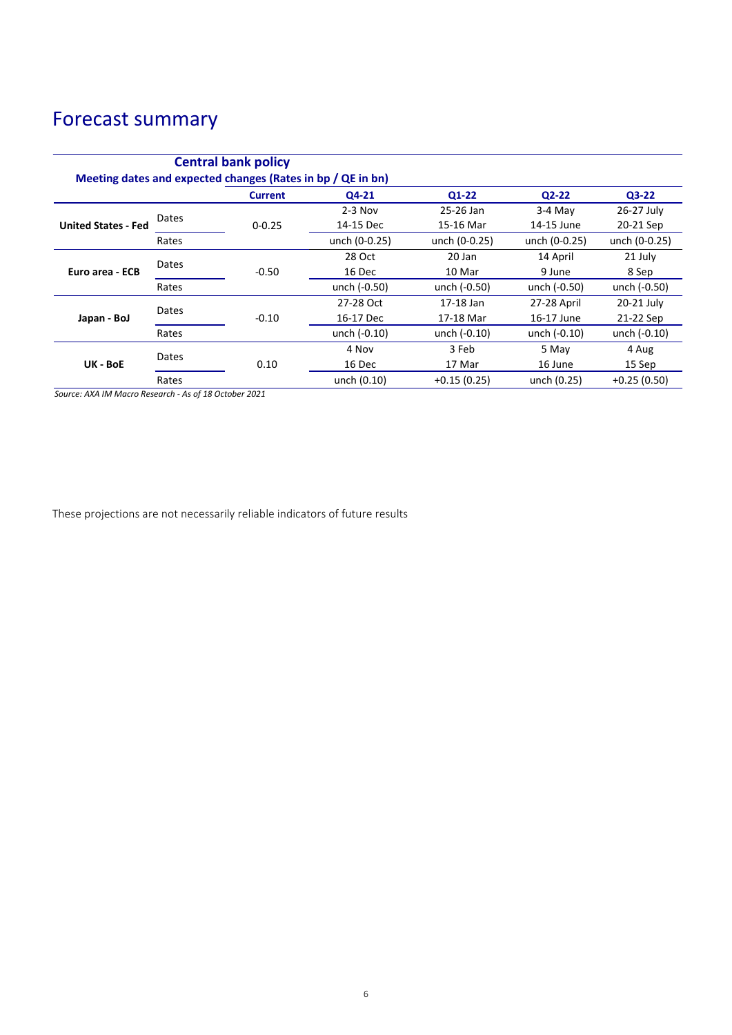### Forecast summary

| <b>Central bank policy</b><br>Meeting dates and expected changes (Rates in bp / QE in bn) |       |                |               |               |                |               |
|-------------------------------------------------------------------------------------------|-------|----------------|---------------|---------------|----------------|---------------|
|                                                                                           |       | <b>Current</b> | Q4-21         | $Q1-22$       | $Q2-22$        | $Q3-22$       |
| <b>United States - Fed</b>                                                                | Dates |                | $2-3$ Nov     | 25-26 Jan     | $3-4$ May      | 26-27 July    |
|                                                                                           |       | $0 - 0.25$     | 14-15 Dec     | 15-16 Mar     | 14-15 June     | 20-21 Sep     |
|                                                                                           | Rates |                | unch (0-0.25) | unch (0-0.25) | unch (0-0.25)  | unch (0-0.25) |
| Euro area - ECB                                                                           | Dates |                | 28 Oct        | 20 Jan        | 14 April       | 21 July       |
|                                                                                           |       | $-0.50$        | 16 Dec        | 10 Mar        | 9 June         | 8 Sep         |
|                                                                                           | Rates |                | unch (-0.50)  | unch (-0.50)  | unch (-0.50)   | unch (-0.50)  |
| Japan - BoJ                                                                               | Dates |                | 27-28 Oct     | 17-18 Jan     | 27-28 April    | 20-21 July    |
|                                                                                           |       | $-0.10$        | 16-17 Dec     | 17-18 Mar     | 16-17 June     | 21-22 Sep     |
|                                                                                           | Rates |                | unch (-0.10)  | unch (-0.10)  | unch $(-0.10)$ | unch (-0.10)  |
| UK - BoE                                                                                  | Dates |                | 4 Nov         | 3 Feb         | 5 May          | 4 Aug         |
|                                                                                           |       | 0.10           | 16 Dec        | 17 Mar        | 16 June        | 15 Sep        |
|                                                                                           | Rates |                | unch (0.10)   | $+0.15(0.25)$ | unch (0.25)    | $+0.25(0.50)$ |

*Source: AXA IM Macro Research - As of 18 October 2021*

These projections are not necessarily reliable indicators of future results